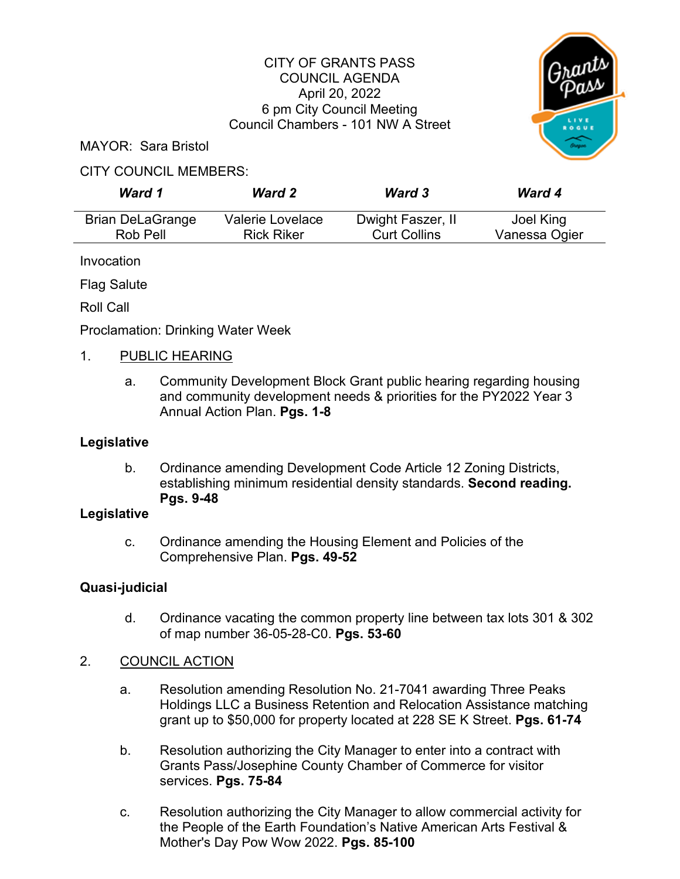#### CITY OF GRANTS PASS COUNCIL AGENDA April 20, 2022 6 pm City Council Meeting Council Chambers - 101 NW A Street



MAYOR: Sara Bristol

#### CITY COUNCIL MEMBERS:

| Ward 1                  | <b>Ward 2</b>     | <b>Ward 3</b>       | <b>Ward 4</b> |
|-------------------------|-------------------|---------------------|---------------|
| <b>Brian DeLaGrange</b> | Valerie Lovelace  | Dwight Faszer, II   | Joel King     |
| Rob Pell                | <b>Rick Riker</b> | <b>Curt Collins</b> | Vanessa Ogier |

Invocation

Flag Salute

Roll Call

Proclamation: Drinking Water Week

### 1. PUBLIC HEARING

a. Community Development Block Grant public hearing regarding housing and community development needs & priorities for the PY2022 Year 3 Annual Action Plan. **Pgs. 1-8** 

## **Legislative**

b. Ordinance amending Development Code Article 12 Zoning Districts, establishing minimum residential density standards. **Second reading. Pgs. 9-48**

#### **Legislative**

c. Ordinance amending the Housing Element and Policies of the Comprehensive Plan. **Pgs. 49-52**

# **Quasi-judicial**

- d. Ordinance vacating the common property line between tax lots 301 & 302 of map number 36-05-28-C0. **Pgs. 53-60**
- 2. COUNCIL ACTION
	- a. Resolution amending Resolution No. 21-7041 awarding Three Peaks Holdings LLC a Business Retention and Relocation Assistance matching grant up to \$50,000 for property located at 228 SE K Street. **Pgs. 61-74**
	- b. Resolution authorizing the City Manager to enter into a contract with Grants Pass/Josephine County Chamber of Commerce for visitor services. **Pgs. 75-84**
	- c. Resolution authorizing the City Manager to allow commercial activity for the People of the Earth Foundation's Native American Arts Festival & Mother's Day Pow Wow 2022. **Pgs. 85-100**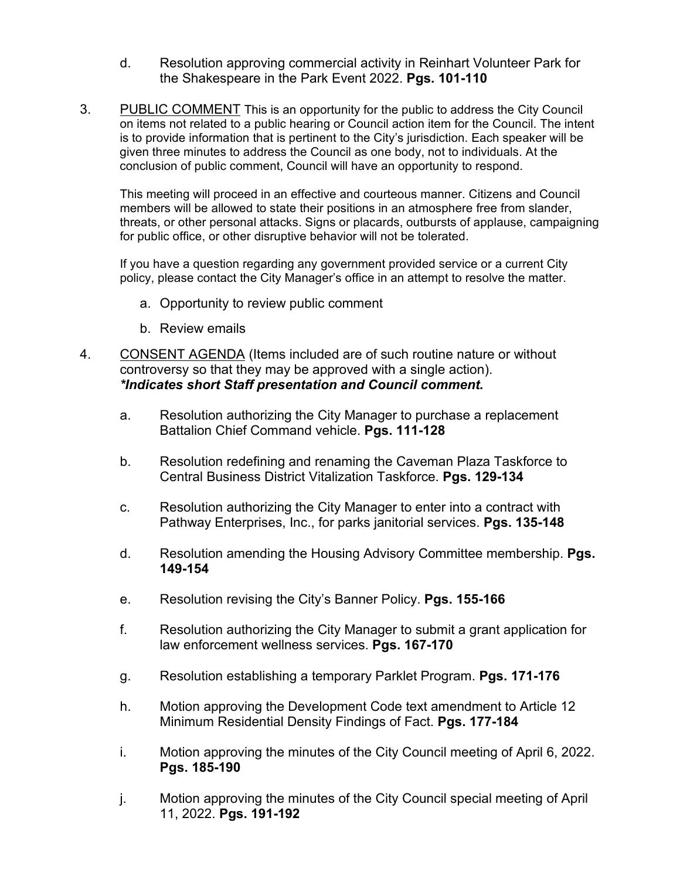- d. Resolution approving commercial activity in Reinhart Volunteer Park for the Shakespeare in the Park Event 2022. **Pgs. 101-110**
- 3. PUBLIC COMMENT This is an opportunity for the public to address the City Council on items not related to a public hearing or Council action item for the Council. The intent is to provide information that is pertinent to the City's jurisdiction. Each speaker will be given three minutes to address the Council as one body, not to individuals. At the conclusion of public comment, Council will have an opportunity to respond.

This meeting will proceed in an effective and courteous manner. Citizens and Council members will be allowed to state their positions in an atmosphere free from slander, threats, or other personal attacks. Signs or placards, outbursts of applause, campaigning for public office, or other disruptive behavior will not be tolerated.

If you have a question regarding any government provided service or a current City policy, please contact the City Manager's office in an attempt to resolve the matter.

- a. Opportunity to review public comment
- b. Review emails
- 4. CONSENT AGENDA (Items included are of such routine nature or without controversy so that they may be approved with a single action). *\*Indicates short Staff presentation and Council comment.*
	- a. Resolution authorizing the City Manager to purchase a replacement Battalion Chief Command vehicle. **Pgs. 111-128**
	- b. Resolution redefining and renaming the Caveman Plaza Taskforce to Central Business District Vitalization Taskforce. **Pgs. 129-134**
	- c. Resolution authorizing the City Manager to enter into a contract with Pathway Enterprises, Inc., for parks janitorial services. **Pgs. 135-148**
	- d. Resolution amending the Housing Advisory Committee membership. **Pgs. 149-154**
	- e. Resolution revising the City's Banner Policy. **Pgs. 155-166**
	- f. Resolution authorizing the City Manager to submit a grant application for law enforcement wellness services. **Pgs. 167-170**
	- g. Resolution establishing a temporary Parklet Program. **Pgs. 171-176**
	- h. Motion approving the Development Code text amendment to Article 12 Minimum Residential Density Findings of Fact. **Pgs. 177-184**
	- i. Motion approving the minutes of the City Council meeting of April 6, 2022. **Pgs. 185-190**
	- j. Motion approving the minutes of the City Council special meeting of April 11, 2022. **Pgs. 191-192**